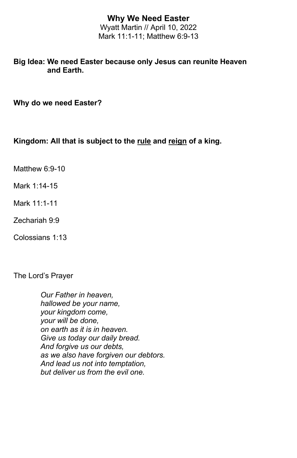## **Why We Need Easter**

Wyatt Martin // April 10, 2022 Mark 11:1-11; Matthew 6:9-13

## **Big Idea: We need Easter because only Jesus can reunite Heaven and Earth.**

**Why do we need Easter?**

## **Kingdom: All that is subject to the rule and reign of a king.**

Matthew 6:9-10

Mark 1:14-15

Mark 11:1-11

Zechariah 9:9

Colossians 1:13

The Lord's Prayer

*Our Father in heaven, hallowed be your name, your kingdom come, your will be done, on earth as it is in heaven. Give us today our daily bread. And forgive us our debts, as we also have forgiven our debtors. And lead us not into temptation, but deliver us from the evil one.*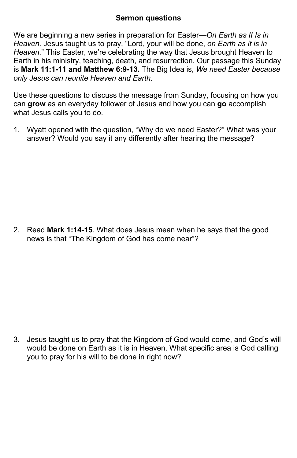## **Sermon questions**

We are beginning a new series in preparation for Easter—*On Earth as It Is in Heaven.* Jesus taught us to pray, "Lord, your will be done, *on Earth as it is in Heaven.*" This Easter, we're celebrating the way that Jesus brought Heaven to Earth in his ministry, teaching, death, and resurrection. Our passage this Sunday is **Mark 11:1-11 and Matthew 6:9-13.** The Big Idea is, *We need Easter because only Jesus can reunite Heaven and Earth.*

Use these questions to discuss the message from Sunday, focusing on how you can **grow** as an everyday follower of Jesus and how you can **go** accomplish what Jesus calls you to do.

1. Wyatt opened with the question, "Why do we need Easter?" What was your answer? Would you say it any differently after hearing the message?

2. Read **Mark 1:14-15**. What does Jesus mean when he says that the good news is that "The Kingdom of God has come near"?

3. Jesus taught us to pray that the Kingdom of God would come, and God's will would be done on Earth as it is in Heaven. What specific area is God calling you to pray for his will to be done in right now?